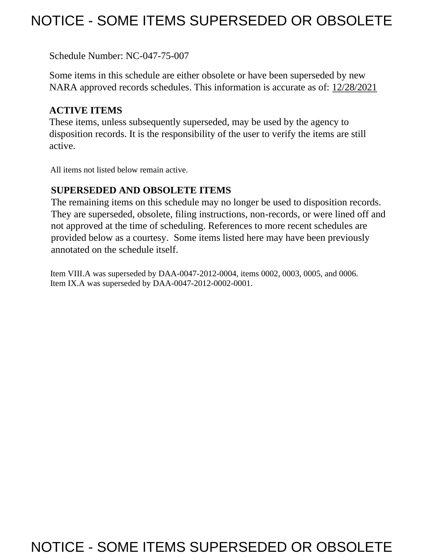# NOTICE - SOME ITEMS SUPERSEDED OR OBSOLETE

Schedule Number: NC-047-75-007

 Some items in this schedule are either obsolete or have been superseded by new NARA approved records schedules. This information is accurate as of: 12/28/2021

# **ACTIVE ITEMS**

 These items, unless subsequently superseded, may be used by the agency to disposition records. It is the responsibility of the user to verify the items are still active.

All items not listed below remain active.

# **SUPERSEDED AND OBSOLETE ITEMS**

 The remaining items on this schedule may no longer be used to disposition records. not approved at the time of scheduling. References to more recent schedules are provided below as a courtesy. Some items listed here may have been previously They are superseded, obsolete, filing instructions, non-records, or were lined off and annotated on the schedule itself.

Item VIII.A was superseded by DAA-0047-2012-0004, items 0002, 0003, 0005, and 0006. Item IX.A was superseded by DAA-0047-2012-0002-0001.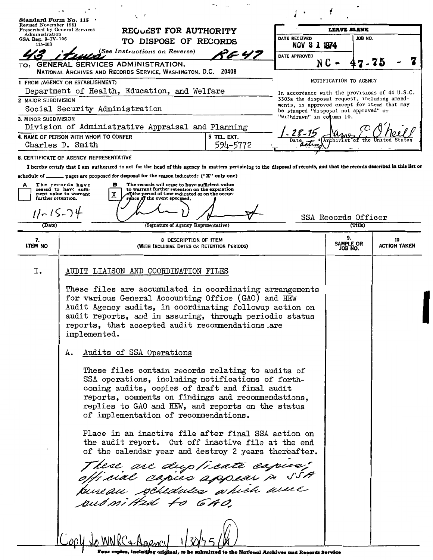|                                                | ヒィ                                                                                                                                                                                                                                                                                                                                                                                                                                                                                                                                                                                                                                                                                                                                                                                                                                                                                                                              |          |                                                                                                |                                |                           |
|------------------------------------------------|---------------------------------------------------------------------------------------------------------------------------------------------------------------------------------------------------------------------------------------------------------------------------------------------------------------------------------------------------------------------------------------------------------------------------------------------------------------------------------------------------------------------------------------------------------------------------------------------------------------------------------------------------------------------------------------------------------------------------------------------------------------------------------------------------------------------------------------------------------------------------------------------------------------------------------|----------|------------------------------------------------------------------------------------------------|--------------------------------|---------------------------|
| Standard Form No. 115<br>Revised November 1951 |                                                                                                                                                                                                                                                                                                                                                                                                                                                                                                                                                                                                                                                                                                                                                                                                                                                                                                                                 |          |                                                                                                | <b>LEAVE BLANK</b>             |                           |
| Administration<br>GSA Reg. $3-\text{IV}-106$   | Prescribed by General Services<br>REQUEST FOR AUTHORITY                                                                                                                                                                                                                                                                                                                                                                                                                                                                                                                                                                                                                                                                                                                                                                                                                                                                         |          | DATE RECEIVED                                                                                  | JOB NO.                        |                           |
| 115-103                                        | TO DISPOSE OF RECORDS                                                                                                                                                                                                                                                                                                                                                                                                                                                                                                                                                                                                                                                                                                                                                                                                                                                                                                           |          | NOV 2 1 1974                                                                                   |                                |                           |
|                                                | (See Instructions on Reverse)                                                                                                                                                                                                                                                                                                                                                                                                                                                                                                                                                                                                                                                                                                                                                                                                                                                                                                   | やん 47    | DATE APPROVED                                                                                  |                                |                           |
|                                                | TO: GENERAL SERVICES ADMINISTRATION,<br>NATIONAL ARCHIVES AND RECORDS SERVICE, WASHINGTON, D.C. 20408                                                                                                                                                                                                                                                                                                                                                                                                                                                                                                                                                                                                                                                                                                                                                                                                                           |          | N C                                                                                            | 7-75                           |                           |
|                                                | 1 FROM (AGENCY OR ESTABLISHMENT)                                                                                                                                                                                                                                                                                                                                                                                                                                                                                                                                                                                                                                                                                                                                                                                                                                                                                                |          |                                                                                                | NOTIFICATION TO AGENCY         |                           |
|                                                | Department of Health, Education, and Welfare                                                                                                                                                                                                                                                                                                                                                                                                                                                                                                                                                                                                                                                                                                                                                                                                                                                                                    |          | In accordance with the provisions of 44 U.S.C.<br>3303a the disposal request, including amend- |                                |                           |
| 2 MAJOR SUBDIVISION                            | Social Security Administration                                                                                                                                                                                                                                                                                                                                                                                                                                                                                                                                                                                                                                                                                                                                                                                                                                                                                                  |          | ments, is approved except for items that may                                                   |                                |                           |
| 3. MINOR SUBDIVISION                           |                                                                                                                                                                                                                                                                                                                                                                                                                                                                                                                                                                                                                                                                                                                                                                                                                                                                                                                                 |          | be stamped "disposal not approved" or<br>"withdrawn" in column 10.                             |                                |                           |
|                                                | Division of Administrative Appraisal and Planning                                                                                                                                                                                                                                                                                                                                                                                                                                                                                                                                                                                                                                                                                                                                                                                                                                                                               |          |                                                                                                |                                |                           |
|                                                | 4. NAME OF PERSON WITH WHOM TO CONFER<br>5 TEL. EXT.                                                                                                                                                                                                                                                                                                                                                                                                                                                                                                                                                                                                                                                                                                                                                                                                                                                                            |          | 28-15                                                                                          |                                |                           |
|                                                | Charles D. Smith                                                                                                                                                                                                                                                                                                                                                                                                                                                                                                                                                                                                                                                                                                                                                                                                                                                                                                                | 594-5772 |                                                                                                |                                |                           |
|                                                | 6. CERTIFICATE OF AGENCY REPRESENTATIVE                                                                                                                                                                                                                                                                                                                                                                                                                                                                                                                                                                                                                                                                                                                                                                                                                                                                                         |          |                                                                                                |                                |                           |
|                                                | I hereby certify that I am authorized to act for the head of this agency in matters pertaining to the disposal of records, and that the records described in this list or                                                                                                                                                                                                                                                                                                                                                                                                                                                                                                                                                                                                                                                                                                                                                       |          |                                                                                                |                                |                           |
|                                                | schedule of ______ pages are proposed for disposal for the reason indicated: ("X" only one)                                                                                                                                                                                                                                                                                                                                                                                                                                                                                                                                                                                                                                                                                                                                                                                                                                     |          |                                                                                                |                                |                           |
| А                                              | The records have<br>The records will cease to have sufficient value<br>в<br>to warrant further retention on the expiration<br>ceased to have suffi-<br>cient value to warrant<br>of)the period of time indicated or on the occur-                                                                                                                                                                                                                                                                                                                                                                                                                                                                                                                                                                                                                                                                                               |          |                                                                                                |                                |                           |
|                                                | further retention.<br>ronce of the event specified.                                                                                                                                                                                                                                                                                                                                                                                                                                                                                                                                                                                                                                                                                                                                                                                                                                                                             |          |                                                                                                |                                |                           |
|                                                | $11 - 15 - 74$                                                                                                                                                                                                                                                                                                                                                                                                                                                                                                                                                                                                                                                                                                                                                                                                                                                                                                                  |          |                                                                                                |                                |                           |
| (Date)                                         | (Signature of Agency Representative)                                                                                                                                                                                                                                                                                                                                                                                                                                                                                                                                                                                                                                                                                                                                                                                                                                                                                            |          |                                                                                                | SSA Records Officer<br>(Title) |                           |
|                                                |                                                                                                                                                                                                                                                                                                                                                                                                                                                                                                                                                                                                                                                                                                                                                                                                                                                                                                                                 |          |                                                                                                | 9.                             |                           |
| 7.<br><b>ITEM NO</b>                           | 8 DESCRIPTION OF ITEM<br>(WITH INCLUSIVE DATES OR RETENTION PERIODS)                                                                                                                                                                                                                                                                                                                                                                                                                                                                                                                                                                                                                                                                                                                                                                                                                                                            |          |                                                                                                | <b>SAMPLE OR</b><br>JOB NO.    | 10<br><b>ACTION TAKEN</b> |
|                                                |                                                                                                                                                                                                                                                                                                                                                                                                                                                                                                                                                                                                                                                                                                                                                                                                                                                                                                                                 |          |                                                                                                |                                |                           |
| I.                                             | AUDIT LIAISON AND COORDINATION FILES                                                                                                                                                                                                                                                                                                                                                                                                                                                                                                                                                                                                                                                                                                                                                                                                                                                                                            |          |                                                                                                |                                |                           |
|                                                | These files are accumulated in coordinating arrangements<br>for various General Accounting Office (GAO) and HEW<br>Audit Agency audits, in coordinating followup action on<br>audit reports, and in assuring, through periodic status<br>reports, that accepted audit recommendations are<br>implemented.<br>Audits of SSA Operations<br>А.<br>These files contain records relating to audits of<br>SSA operations, including notifications of forth-<br>coming audits, copies of draft and final audit<br>reports, comments on findings and recommendations,<br>replies to GAO and HEW, and reports on the status<br>of implementation of recommendations.<br>Place in an inactive file after final SSA action on<br>the audit report. Cut off inactive file at the end<br>of the calendar year and destroy 2 years thereafter.<br>These are dup/icate espice;<br>official cspies appear p SSA<br>pureau sobedules a hiéh avec |          |                                                                                                |                                |                           |

Four copies, including original, to be submitted to the National Archives and Records Service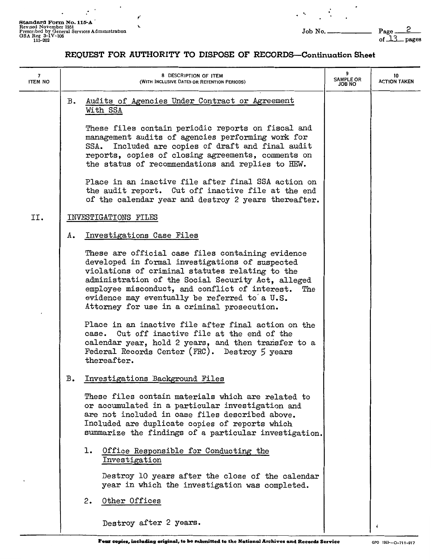**Standard Form No. 115-A**<br>
Revised November 1951<br>
Prescribed by General Services Administration<br>
GSA Reg 3-1V-106 of <u>\_13</u> pages<br>
115-202 of \_13\_ pages

 $\ddot{\phantom{a}}$ 

 $\mathbb{R}^3$ 

**r'** 

 $\cdot$ 

 $\bar{\mathcal{A}}$ 

 $\frac{1}{2} \frac{d^2}{dx^2}$ 

 $\overline{\phantom{a}}$ 

| $\overline{\mathbf{z}}$<br><b>ITEM NO</b> |    | 8 DESCRIPTION OF ITEM<br>(WITH INCLUSIVE DATES OR RETENTION PERIODS)                                                                                                                                                                                                                                                                                                   | 9<br><b>SAMPLE OR</b><br><b>JOB NO</b> | 10<br><b>ACTION TAKEN</b> |
|-------------------------------------------|----|------------------------------------------------------------------------------------------------------------------------------------------------------------------------------------------------------------------------------------------------------------------------------------------------------------------------------------------------------------------------|----------------------------------------|---------------------------|
|                                           | в. | Audits of Agencies Under Contract or Agreement<br>With SSA                                                                                                                                                                                                                                                                                                             |                                        |                           |
|                                           |    | These files contain periodic reports on fiscal and<br>management audits of agencies performing work for<br>SSA. Included are copies of draft and final audit<br>reports, copies of closing agreements, comments on<br>the status of recommendations and replies to HEW.                                                                                                |                                        |                           |
|                                           |    | Place in an inactive file after final SSA action on<br>the audit report. Cut off inactive file at the end<br>of the calendar year and destroy 2 years thereafter.                                                                                                                                                                                                      |                                        |                           |
| II.                                       |    | INVESTIGATIONS FILES                                                                                                                                                                                                                                                                                                                                                   |                                        |                           |
|                                           | А. | Investigations Case Files                                                                                                                                                                                                                                                                                                                                              |                                        |                           |
|                                           |    | These are official case files containing evidence<br>developed in formal investigations of suspected<br>violations of criminal statutes relating to the<br>administration of the Social Security Act, alleged<br>employee misconduct, and conflict of interest.<br>The<br>evidence may eventually be referred to a U.S.<br>Attorney for use in a criminal prosecution. |                                        |                           |
|                                           |    | Place in an inactive file after final action on the<br>case. Cut off inactive file at the end of the<br>calendar year, hold 2 years, and then transfer to a<br>Federal Records Center (FRC). Destroy 5 years<br>thereafter.                                                                                                                                            |                                        |                           |
|                                           | в. | Investigations Background Files                                                                                                                                                                                                                                                                                                                                        |                                        |                           |
|                                           |    | These files contain materials which are related to<br>or accumulated in a particular investigation and<br>are not included in case files described above.<br>Included are duplicate copies of reports which<br>summarize the findings of a particular investigation.                                                                                                   |                                        |                           |
|                                           |    | Office Responsible for Conducting the<br>ı.<br>Investigation                                                                                                                                                                                                                                                                                                           |                                        |                           |
|                                           |    | Destroy 10 years after the close of the calendar<br>year in which the investigation was completed.                                                                                                                                                                                                                                                                     |                                        |                           |
|                                           |    | 2.<br>Other Offices                                                                                                                                                                                                                                                                                                                                                    |                                        |                           |
|                                           |    | Destroy after 2 years.                                                                                                                                                                                                                                                                                                                                                 |                                        |                           |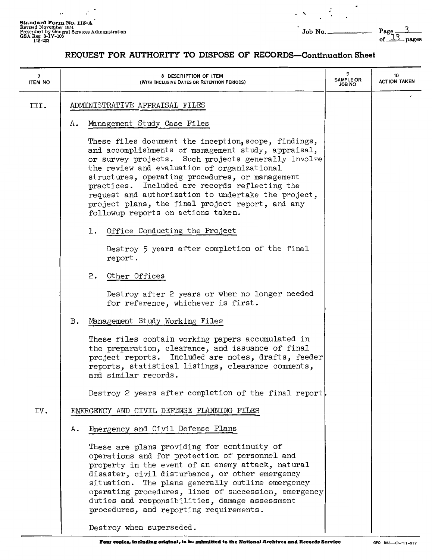$\ldots$ 

 $\mathbb{R}^3$ 

 $\ddot{\phantom{0}}$ 

 $\dot{\gamma}$ 

 $\overline{\phantom{a}}$ 

 $\frac{3}{2}$ 

| 7<br><b>ITEM NO</b> | 8 DESCRIPTION OF ITEM<br>(WITH INCLUSIVE DATES OR RETENTION PERIODS)                                                                                                                                                                                                                                                                                                                                                                                                    | 9<br><b>SAMPLE OR</b><br><b>JOB NO</b> | 10<br><b>ACTION TAKEN</b> |
|---------------------|-------------------------------------------------------------------------------------------------------------------------------------------------------------------------------------------------------------------------------------------------------------------------------------------------------------------------------------------------------------------------------------------------------------------------------------------------------------------------|----------------------------------------|---------------------------|
| III.                | ADMINISTRATIVE APPRAISAL FILES                                                                                                                                                                                                                                                                                                                                                                                                                                          |                                        |                           |
|                     | Management Study Case Files<br>Α.                                                                                                                                                                                                                                                                                                                                                                                                                                       |                                        |                           |
|                     | These files document the inception, scope, findings,<br>and accomplishments of management study, appraisal,<br>or survey projects. Such projects generally involve<br>the review and evaluation of organizational<br>structures, operating procedures, or management<br>practices. Included are records reflecting the<br>request and authorization to undertake the project,<br>project plans, the final project report, and any<br>followup reports on actions taken. |                                        |                           |
|                     | 1. Office Conducting the Project                                                                                                                                                                                                                                                                                                                                                                                                                                        |                                        |                           |
|                     | Destroy 5 years after completion of the final<br>report.                                                                                                                                                                                                                                                                                                                                                                                                                |                                        |                           |
|                     | 2.<br>Other Offices                                                                                                                                                                                                                                                                                                                                                                                                                                                     |                                        |                           |
|                     | Destroy after 2 years or when no longer needed<br>for reference, whichever is first.                                                                                                                                                                                                                                                                                                                                                                                    |                                        |                           |
|                     | Management Study Working Files<br>в.                                                                                                                                                                                                                                                                                                                                                                                                                                    |                                        |                           |
|                     | These files contain working papers accumulated in<br>the preparation, clearance, and issuance of final<br>project reports. Included are notes, drafts, feeder<br>reports, statistical listings, clearance comments,<br>and similar records.                                                                                                                                                                                                                             |                                        |                           |
|                     | Destroy 2 years after completion of the final report                                                                                                                                                                                                                                                                                                                                                                                                                    |                                        |                           |
| IV.                 | EMERGENCY AND CIVIL DEFENSE PLANNING FILES                                                                                                                                                                                                                                                                                                                                                                                                                              |                                        |                           |
|                     | Emergency and Civil Defense Plans<br>Α.                                                                                                                                                                                                                                                                                                                                                                                                                                 |                                        |                           |
|                     | These are plans providing for continuity of<br>operations and for protection of personnel and<br>property in the event of an enemy attack, natural<br>disaster, civil disturbance, or other emergency<br>situation. The plans generally outline emergency<br>operating procedures, lines of succession, emergency<br>duties and responsibilities, damage assessment<br>procedures, and reporting requirements.<br>Destroy when superseded.                              |                                        |                           |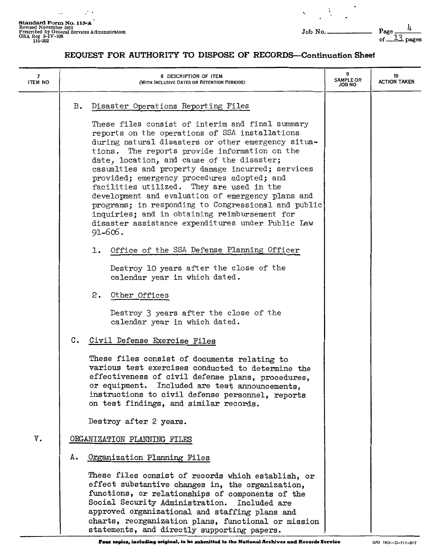$\sim$ 

 $\mathbb{R}^n$ 

 $\overline{\phantom{a}}$ 

 $\ddot{\phantom{a}}$ 

| 7<br><b>ITEM NO</b> | 8 DESCRIPTION OF ITEM<br>(WITH INCLUSIVE DATES OR RETENTION PERIODS)                                                                                                                                                                                                                                                                                                                                                                                                                                                                                                                                                                                                                       | <b>SAMPLE OR</b><br><b>JOB NO</b> | 10<br><b>ACTION TAKEN</b> |
|---------------------|--------------------------------------------------------------------------------------------------------------------------------------------------------------------------------------------------------------------------------------------------------------------------------------------------------------------------------------------------------------------------------------------------------------------------------------------------------------------------------------------------------------------------------------------------------------------------------------------------------------------------------------------------------------------------------------------|-----------------------------------|---------------------------|
|                     | Disaster Operations Reporting Files<br>в.<br>These files consist of interim and final summary<br>reports on the operations of SSA installations<br>during natural disasters or other emergency situa-<br>The reports provide information on the<br>tions.<br>date, location, and cause of the disaster;<br>casualties and property damage incurred; services<br>provided; emergency procedures adopted; and<br>facilities utilized. They are used in the<br>development and evaluation of emergency plans and<br>programs; in responding to Congressional and public<br>inquiries; and in obtaining reimbursement for<br>disaster assistance expenditures under Public Law<br>$91 - 606$ . |                                   |                           |
|                     | Office of the SSA Defense Planning Officer<br>ı.                                                                                                                                                                                                                                                                                                                                                                                                                                                                                                                                                                                                                                           |                                   |                           |
|                     | Destroy 10 years after the close of the<br>calendar year in which dated.                                                                                                                                                                                                                                                                                                                                                                                                                                                                                                                                                                                                                   |                                   |                           |
|                     | 2. Other Offices                                                                                                                                                                                                                                                                                                                                                                                                                                                                                                                                                                                                                                                                           |                                   |                           |
|                     | Destroy 3 years after the close of the<br>calendar year in which dated.                                                                                                                                                                                                                                                                                                                                                                                                                                                                                                                                                                                                                    |                                   |                           |
|                     | c.<br>Civil Defense Exercise Files                                                                                                                                                                                                                                                                                                                                                                                                                                                                                                                                                                                                                                                         |                                   |                           |
|                     | These files consist of documents relating to<br>various test exercises conducted to determine the<br>effectiveness of civil defense plans, procedures,<br>or equipment. Included are test announcements,<br>instructions to civil defense personnel, reports<br>on test findings, and similar records.                                                                                                                                                                                                                                                                                                                                                                                     |                                   |                           |
|                     | Destroy after 2 years.                                                                                                                                                                                                                                                                                                                                                                                                                                                                                                                                                                                                                                                                     |                                   |                           |
| $V_{\bullet}$       | ORGANIZATION PLANNING FILES                                                                                                                                                                                                                                                                                                                                                                                                                                                                                                                                                                                                                                                                |                                   |                           |
|                     | Organization Planning Files<br>А.                                                                                                                                                                                                                                                                                                                                                                                                                                                                                                                                                                                                                                                          |                                   |                           |
|                     | These files consist of records which establish, or<br>effect substantive changes in, the organization,<br>functions, or relationships of components of the<br>Social Security Administration. Included are<br>approved organizational and staffing plans and<br>charts, reorganization plans, functional or mission<br>statements, and directly supporting papers.                                                                                                                                                                                                                                                                                                                         |                                   |                           |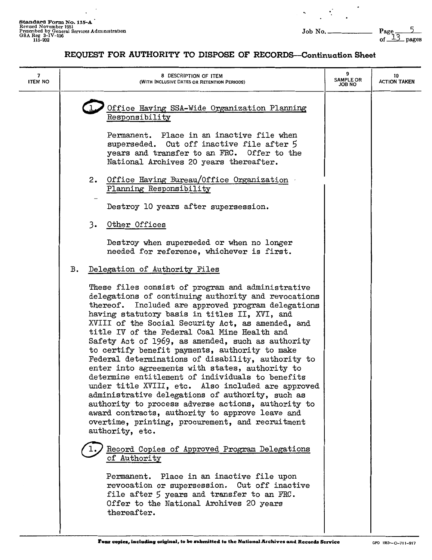$\overline{\phantom{a}}$  $\ddot{\phantom{0}}$ 

 $\mathcal{L}^{\text{max}}_{\text{max}}$ 

 $\ddot{\phantom{1}}$ 

| 7<br><b>ITEM NO</b> | 8 DESCRIPTION OF ITEM<br>(WITH INCLUSIVE DATES OR RETENTION PERIODS)                                                                                                                                                                                                                                                                                                                                                                                                                                                                                                                                                                                                                                                                                                                                                                                                                  | 9<br><b>SAMPLE OR</b><br><b>ON BOL</b> | 10<br><b>ACTION TAKEN</b> |
|---------------------|---------------------------------------------------------------------------------------------------------------------------------------------------------------------------------------------------------------------------------------------------------------------------------------------------------------------------------------------------------------------------------------------------------------------------------------------------------------------------------------------------------------------------------------------------------------------------------------------------------------------------------------------------------------------------------------------------------------------------------------------------------------------------------------------------------------------------------------------------------------------------------------|----------------------------------------|---------------------------|
|                     | Office Having SSA-Wide Organization Planning<br>Responsibility<br>Permanent. Place in an inactive file when<br>superseded. Cut off inactive file after 5<br>years and transfer to an FRC. Offer to the<br>National Archives 20 years thereafter.                                                                                                                                                                                                                                                                                                                                                                                                                                                                                                                                                                                                                                      |                                        |                           |
|                     | 2. Office Having Bureau/Office Organization<br>Planning Responsibility                                                                                                                                                                                                                                                                                                                                                                                                                                                                                                                                                                                                                                                                                                                                                                                                                |                                        |                           |
|                     | Destroy 10 years after supersession.                                                                                                                                                                                                                                                                                                                                                                                                                                                                                                                                                                                                                                                                                                                                                                                                                                                  |                                        |                           |
|                     | 3.<br>Other Offices<br>Destroy when superseded or when no longer<br>needed for reference, whichever is first.                                                                                                                                                                                                                                                                                                                                                                                                                                                                                                                                                                                                                                                                                                                                                                         |                                        |                           |
|                     | Delegation of Authority Files<br>в.                                                                                                                                                                                                                                                                                                                                                                                                                                                                                                                                                                                                                                                                                                                                                                                                                                                   |                                        |                           |
|                     | These files consist of program and administrative<br>delegations of continuing authority and revocations<br>Included are approved program delegations<br>thereof.<br>having statutory basis in titles II, XVI, and<br>XVIII of the Social Security Act, as amended, and<br>title IV of the Federal Coal Mine Health and<br>Safety Act of 1969, as amended, such as authority<br>to certify benefit payments, authority to make<br>Federal determinations of disability, authority to<br>enter into agreements with states, authority to<br>determine entitlement of individuals to benefits<br>under title XVIII, etc. Also included are approved<br>administrative delegations of authority, such as<br>authority to process adverse actions, authority to<br>award contracts, authority to approve leave and<br>overtime, printing, procurement, and recruitment<br>authority, etc. |                                        |                           |
|                     | Record Copies of Approved Program Delegations<br>of Authority<br>Permanent. Place in an inactive file upon<br>revocation or supersession. Cut off inactive<br>file after 5 years and transfer to an FRC.<br>Offer to the National Archives 20 years<br>thereafter.                                                                                                                                                                                                                                                                                                                                                                                                                                                                                                                                                                                                                    |                                        |                           |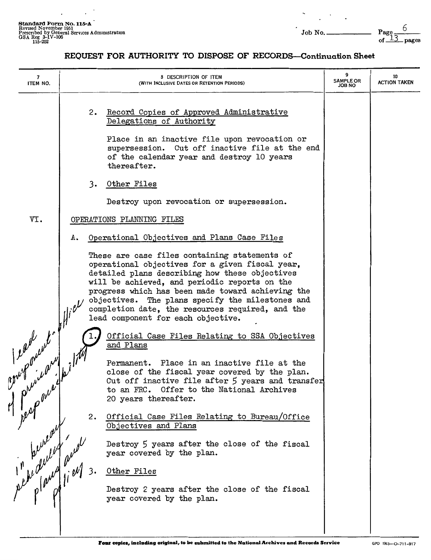$\cdot$ 

 $\bar{a}$ 

 $\cdot$ 

 $\ddot{\phantom{0}}$ 

| 7<br>ITEM NO.                   |    | 8 DESCRIPTION OF ITEM<br>(WITH INCLUSIVE DATES OR RETENTION PERIODS)                                                                                                                                                                                                                                                                                                                                   | 9<br><b>SAMPLE OR</b><br><b>JOB NO</b> | 10<br><b>ACTION TAKEN</b> |
|---------------------------------|----|--------------------------------------------------------------------------------------------------------------------------------------------------------------------------------------------------------------------------------------------------------------------------------------------------------------------------------------------------------------------------------------------------------|----------------------------------------|---------------------------|
|                                 |    | Record Copies of Approved Administrative<br>2.<br>Delegations of Authority<br>Place in an inactive file upon revocation or<br>supersession. Cut off inactive file at the end<br>of the calendar year and destroy 10 years<br>thereafter.                                                                                                                                                               |                                        |                           |
|                                 |    | 3. Other Files                                                                                                                                                                                                                                                                                                                                                                                         |                                        |                           |
|                                 |    | Destroy upon revocation or supersession.                                                                                                                                                                                                                                                                                                                                                               |                                        |                           |
| VI.                             |    | OPERATIONS PLANNING FILES                                                                                                                                                                                                                                                                                                                                                                              |                                        |                           |
|                                 | А. | Operational Objectives and Plans Case Files                                                                                                                                                                                                                                                                                                                                                            |                                        |                           |
|                                 |    | These are case files containing statements of<br>operational objectives for a given fiscal year,<br>detailed plans describing how these objectives<br>will be achieved, and periodic reports on the<br>progress which has been made toward achieving the<br>objectives. The plans specify the milestones and<br>completion date, the resources required, and the<br>lead component for each objective. |                                        |                           |
|                                 |    | Official Case Files Relating to SSA Objectives<br>and Plans                                                                                                                                                                                                                                                                                                                                            |                                        |                           |
| least with                      |    | Permanent. Place in an inactive file at the<br>close of the fiscal year covered by the plan.<br>Cut off inactive file after 5 years and transfer<br>to an FRC. Offer to the National Archives<br>20 years thereafter.                                                                                                                                                                                  |                                        |                           |
|                                 |    | 2.<br>Official Case Files Relating to Bureau/Office<br>Objectives and Plans                                                                                                                                                                                                                                                                                                                            |                                        |                           |
|                                 |    | Destroy 5 years after the close of the fiscal<br>year covered by the plan.                                                                                                                                                                                                                                                                                                                             |                                        |                           |
|                                 |    | Other Files                                                                                                                                                                                                                                                                                                                                                                                            |                                        |                           |
| pervent rue<br>in period and 2. |    | Destroy 2 years after the close of the fiscal<br>year covered by the plan.                                                                                                                                                                                                                                                                                                                             |                                        |                           |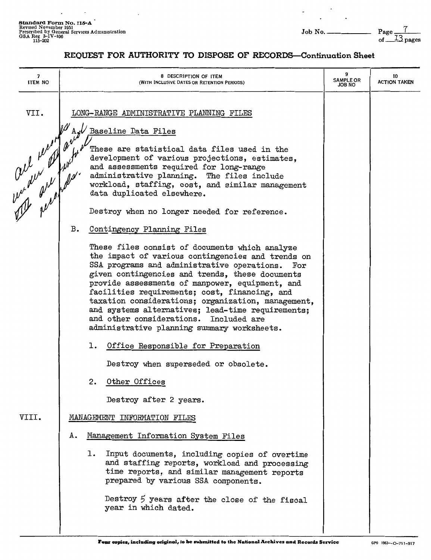J.

 $\overline{a}$ 

 $\overline{a}$ 

 $\overline{\phantom{a}}$ 

 $\frac{7}{13}$  pages

| 7<br><b>ITEM NO</b> | 8 DESCRIPTION OF ITEM<br>(WITH INCLUSIVE DATES OR RETENTION PERIODS)                                                                                                                                                                                                                                                                                                                                                                                                                                                                     | 9<br><b>SAMPLE OR</b><br>JOB NO | 10<br><b>ACTION TAKEN</b> |
|---------------------|------------------------------------------------------------------------------------------------------------------------------------------------------------------------------------------------------------------------------------------------------------------------------------------------------------------------------------------------------------------------------------------------------------------------------------------------------------------------------------------------------------------------------------------|---------------------------------|---------------------------|
| VII.                | LONG-RANGE ADMINISTRATIVE PLANNING FILES<br>Baseline Data Files                                                                                                                                                                                                                                                                                                                                                                                                                                                                          |                                 |                           |
|                     | The world of the team of the team of the team of the team of the team of the team of the team of the team of the<br>These are statistical data files used in the<br>development of various projections, estimates,<br>and assessments required for long-range<br>administrative planning. The files include<br>workload, staffing, cost, and similar management<br>data duplicated elsewhere.                                                                                                                                            |                                 |                           |
|                     | Destroy when no longer needed for reference.                                                                                                                                                                                                                                                                                                                                                                                                                                                                                             |                                 |                           |
|                     | В.<br>Contingency Planning Files                                                                                                                                                                                                                                                                                                                                                                                                                                                                                                         |                                 |                           |
|                     | These files consist of documents which analyze<br>the impact of various contingencies and trends on<br>SSA programs and administrative operations.<br>$\mathop{\mathrm{For}}$<br>given contingencies and trends, these documents<br>provide assessments of manpower, equipment, and<br>facilities requirements; cost, financing, and<br>taxation considerations; organization, management,<br>and systems alternatives; lead-time requirements;<br>and other considerations. Included are<br>administrative planning summary worksheets. |                                 |                           |
|                     | 1. Office Responsible for Preparation                                                                                                                                                                                                                                                                                                                                                                                                                                                                                                    |                                 |                           |
|                     | Destroy when superseded or obsolete.                                                                                                                                                                                                                                                                                                                                                                                                                                                                                                     |                                 |                           |
|                     | 2.<br>Other Offices                                                                                                                                                                                                                                                                                                                                                                                                                                                                                                                      |                                 |                           |
|                     | Destroy after 2 years.                                                                                                                                                                                                                                                                                                                                                                                                                                                                                                                   |                                 |                           |
| VIII.               | MANAGEMENT INFORMATION FILES                                                                                                                                                                                                                                                                                                                                                                                                                                                                                                             |                                 |                           |
|                     | Management Information System Files<br>А.                                                                                                                                                                                                                                                                                                                                                                                                                                                                                                |                                 |                           |
|                     | ı.<br>Input documents, including copies of overtime<br>and staffing reports, workload and processing<br>time reports, and similar management reports<br>prepared by various SSA components.                                                                                                                                                                                                                                                                                                                                              |                                 |                           |
|                     | Destroy 5 years after the close of the fiscal<br>year in which dated.                                                                                                                                                                                                                                                                                                                                                                                                                                                                    |                                 |                           |
|                     |                                                                                                                                                                                                                                                                                                                                                                                                                                                                                                                                          |                                 |                           |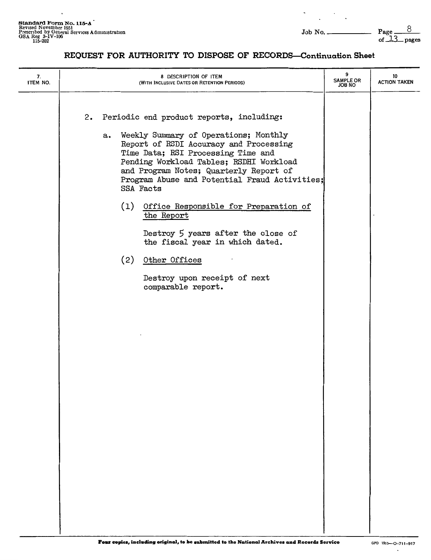$\overline{a}$ 

 $\Box$ 

| 7.<br>ITEM NO. |  | 8 DESCRIPTION OF ITEM<br>(WITH INCLUSIVE DATES OR RETENTION PERIODS)                                                                                                                                                                                                                                                       | 9<br><b>SAMPLE OR</b><br><b>JOB NO</b> | 10<br><b>ACTION TAKEN</b> |
|----------------|--|----------------------------------------------------------------------------------------------------------------------------------------------------------------------------------------------------------------------------------------------------------------------------------------------------------------------------|----------------------------------------|---------------------------|
|                |  | 2. Periodic end product reports, including:<br>a. Weekly Summary of Operations; Monthly<br>Report of RSDI Accuracy and Processing<br>Time Data; RSI Processing Time and<br>Pending Workload Tables; RSDHI Workload<br>and Program Notes; Quarterly Report of<br>Program Abuse and Potential Fraud Activities;<br>SSA Facts |                                        |                           |
|                |  | (1) Office Responsible for Preparation of<br>the Report<br>Destroy 5 years after the close of<br>the fiscal year in which dated.                                                                                                                                                                                           |                                        |                           |
|                |  | (2) Other Offices<br>Destroy upon receipt of next<br>comparable report.                                                                                                                                                                                                                                                    |                                        |                           |
|                |  |                                                                                                                                                                                                                                                                                                                            |                                        |                           |
|                |  |                                                                                                                                                                                                                                                                                                                            |                                        |                           |
|                |  |                                                                                                                                                                                                                                                                                                                            |                                        |                           |
|                |  |                                                                                                                                                                                                                                                                                                                            |                                        |                           |
|                |  |                                                                                                                                                                                                                                                                                                                            |                                        |                           |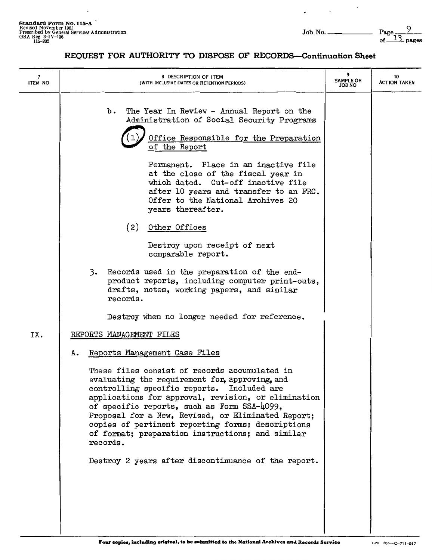$\overline{\phantom{a}}$ 

 $\sim$ 

 $\lambda$ 

 $\frac{9}{13}$  pages

| 7<br><b>ITEM NO</b> | 8 DESCRIPTION OF ITEM<br>(WITH INCLUSIVE DATES OR RETENTION PERIODS)                                                                                                                                                                                                                                                                                                                                                           | 9<br><b>SAMPLE OR</b><br>ON 8OL | 10<br><b>ACTION TAKEN</b> |
|---------------------|--------------------------------------------------------------------------------------------------------------------------------------------------------------------------------------------------------------------------------------------------------------------------------------------------------------------------------------------------------------------------------------------------------------------------------|---------------------------------|---------------------------|
|                     | The Year In Review - Annual Report on the<br>b.<br>Administration of Social Security Programs<br>Office Responsible for the Preparation<br>of the Report                                                                                                                                                                                                                                                                       |                                 |                           |
|                     | Permanent. Place in an inactive file<br>at the close of the fiscal year in<br>which dated. Cut-off inactive file<br>after 10 years and transfer to an FRC.<br>Offer to the National Archives 20<br>years thereafter.                                                                                                                                                                                                           |                                 |                           |
|                     | (2)<br>Other Offices                                                                                                                                                                                                                                                                                                                                                                                                           |                                 |                           |
|                     | Destroy upon receipt of next<br>comparable report.                                                                                                                                                                                                                                                                                                                                                                             |                                 |                           |
|                     | 3.<br>Records used in the preparation of the end-<br>product reports, including computer print-outs,<br>drafts, notes, working papers, and similar<br>records.                                                                                                                                                                                                                                                                 |                                 |                           |
|                     | Destroy when no longer needed for reference.                                                                                                                                                                                                                                                                                                                                                                                   |                                 |                           |
| IX.                 | REPORTS MANAGEMENT FILES                                                                                                                                                                                                                                                                                                                                                                                                       |                                 |                           |
|                     | Reports Management Case Files<br>Α.                                                                                                                                                                                                                                                                                                                                                                                            |                                 |                           |
|                     | These files consist of records accumulated in<br>evaluating the requirement for, approving, and<br>controlling specific reports. Included are<br>applications for approval, revision, or elimination<br>of specific reports, such as Form SSA-4099,<br>Proposal for a New, Revised, or Eliminated Report;<br>copies of pertinent reporting forms; descriptions<br>of format; preparation instructions; and similar<br>records. |                                 |                           |
|                     | Destroy 2 years after discontinuance of the report.                                                                                                                                                                                                                                                                                                                                                                            |                                 |                           |
|                     |                                                                                                                                                                                                                                                                                                                                                                                                                                |                                 |                           |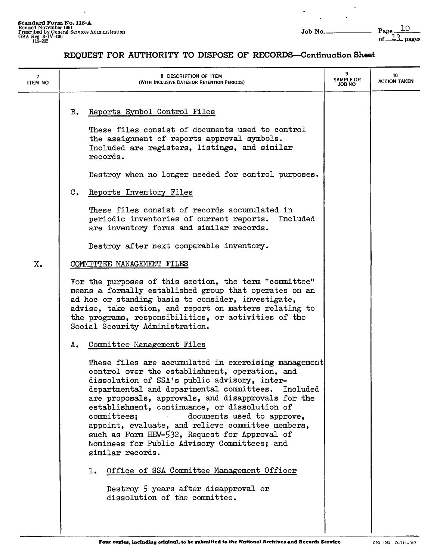$\ddot{\phantom{a}}$ 

 $\mathbf{r}$ 

 $\hat{\boldsymbol{\theta}}$ 

 $\overline{\phantom{a}}$ 

#### **REQUEST FOR AUTHORITY TO DISPOSE OF RECORDS-Continuation Sheet**

| <b>ITEM NO</b> | 8 DESCRIPTION OF ITEM<br>(WITH INCLUSIVE DATES OR RETENTION PERIODS)                                                                                                                                                                                                                                                                                                                                                                                                                                                                                                                                                                                                                                           | <b>SAMPLE OR</b><br><b>JOB NO</b> | 10<br><b>ACTION TAKEN</b> |
|----------------|----------------------------------------------------------------------------------------------------------------------------------------------------------------------------------------------------------------------------------------------------------------------------------------------------------------------------------------------------------------------------------------------------------------------------------------------------------------------------------------------------------------------------------------------------------------------------------------------------------------------------------------------------------------------------------------------------------------|-----------------------------------|---------------------------|
|                | Reports Symbol Control Files<br>$B_{\bullet}$<br>These files consist of documents used to control<br>the assignment of reports approval symbols.<br>Included are registers, listings, and similar<br>records.                                                                                                                                                                                                                                                                                                                                                                                                                                                                                                  |                                   |                           |
|                | Destroy when no longer needed for control purposes.<br>Reports Inventory Files<br>$\mathbf{C}$ .<br>These files consist of records accumulated in<br>periodic inventories of current reports. Included<br>are inventory forms and similar records.                                                                                                                                                                                                                                                                                                                                                                                                                                                             |                                   |                           |
| X.             | Destroy after next comparable inventory.<br>COMMITTEE MANAGEMENT FILES                                                                                                                                                                                                                                                                                                                                                                                                                                                                                                                                                                                                                                         |                                   |                           |
|                | For the purposes of this section, the term "committee"<br>means a formally established group that operates on an<br>ad hoc or standing basis to consider, investigate,<br>advise, take action, and report on matters relating to<br>the programs, responsibilities, or activities of the<br>Social Security Administration.                                                                                                                                                                                                                                                                                                                                                                                    |                                   |                           |
|                | Committee Management Files<br>А.<br>These files are accumulated in exercising management<br>control over the establishment, operation, and<br>dissolution of SSA's public advisory, inter-<br>departmental and departmental committees.<br>Included<br>are proposals, approvals, and disapprovals for the<br>establishment, continuance, or dissolution of<br>documents used to approve,<br>committees;<br>appoint, evaluate, and relieve committee members,<br>such as Form HEW-532, Request for Approval of<br>Nominees for Public Advisory Committees; and<br>similar records.<br>Office of SSA Committee Management Officer<br>1.<br>Destroy 5 years after disapproval or<br>dissolution of the committee. |                                   |                           |
|                |                                                                                                                                                                                                                                                                                                                                                                                                                                                                                                                                                                                                                                                                                                                |                                   |                           |

I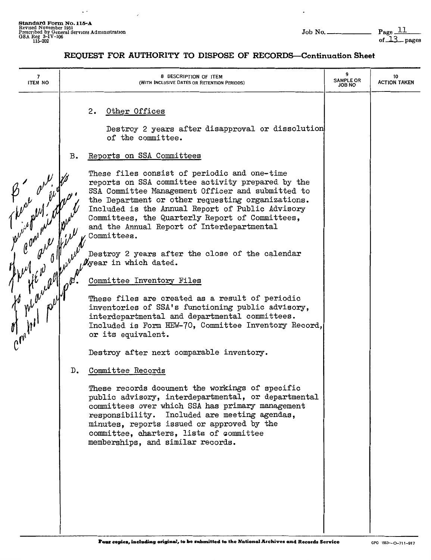$\Box$ 

 $\cdot$ 

| 7<br><b>ITEM NO</b> |                                                                                                                                                                                                                                                                                                                                                                                                                                                                              | 8 DESCRIPTION OF ITEM<br>(WITH INCLUSIVE DATES OR RETENTION PERIODS)                                                                                                                                                                                                                                                                                                                                                                                                                                                                                                                                                                                                                                                                                                                                       | 9<br><b>SAMPLE OR</b><br>JOB NO | 10<br><b>ACTION TAKEN</b> |
|---------------------|------------------------------------------------------------------------------------------------------------------------------------------------------------------------------------------------------------------------------------------------------------------------------------------------------------------------------------------------------------------------------------------------------------------------------------------------------------------------------|------------------------------------------------------------------------------------------------------------------------------------------------------------------------------------------------------------------------------------------------------------------------------------------------------------------------------------------------------------------------------------------------------------------------------------------------------------------------------------------------------------------------------------------------------------------------------------------------------------------------------------------------------------------------------------------------------------------------------------------------------------------------------------------------------------|---------------------------------|---------------------------|
|                     | Other Offices<br>2.<br>of the committee.<br>Reports on SSA Committees<br>в.<br>These files consist of periodic and one-time<br>and the Annual Report of Interdepartmental<br>Committees.<br>$y$ year in which dated.<br>Committee Inventory Files<br>or its equivalent.<br>Destroy after next comparable inventory.<br>Committee Records<br>D.<br>minutes, reports issued or approved by the<br>committee, charters, lists of committee<br>memberships, and similar records. | Destroy 2 years after disapproval or dissolution<br>reports on SSA committee activity prepared by the<br>SSA Committee Management Officer and submitted to<br>the Department or other requesting organizations.<br>Included is the Annual Report of Public Advisory<br>Committees, the Quarterly Report of Committees,<br>Destroy 2 years after the close of the calendar<br>These files are created as a result of periodic<br>inventories of SSA's functioning public advisory,<br>interdepartmental and departmental committees.<br>Included is Form HEW-70, Committee Inventory Record,<br>These records document the workings of specific<br>public advisory, interdepartmental, or departmental<br>committees over which SSA has primary management<br>responsibility. Included are meeting agendas, |                                 |                           |
|                     |                                                                                                                                                                                                                                                                                                                                                                                                                                                                              |                                                                                                                                                                                                                                                                                                                                                                                                                                                                                                                                                                                                                                                                                                                                                                                                            |                                 |                           |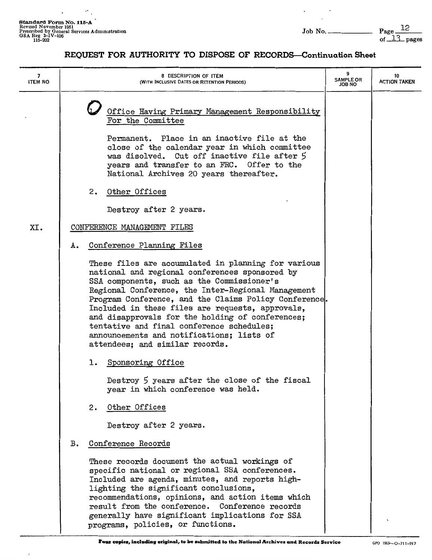$\mathbb{Z}^2$ 

 $\mathcal{P}_{\mathcal{A}}$ 

 $\sim$   $\sim$ 

 $\overline{a}$ 

 $\epsilon$ 

 $-$  Page  $\frac{12}{\text{of } \frac{13}{\text{of } \frac{13}{\text{of } \frac{13}{\text{of } \frac{13}{\text{of } \frac{13}{\text{of } \frac{13}{\text{of } \frac{13}{\text{of } \frac{13}{\text{of } \frac{13}{\text{of } \frac{13}{\text{of } \frac{13}{\text{of } \frac{13}{\text{of } \frac{13}{\text{of } \frac{13}{\text{of } \frac{13}{\text{of } \frac{13}{\text{of } \frac{13}{\text{of } \frac{13}{\text{of } \frac$ 

| 7<br><b>ITEM NO</b> | 8 DESCRIPTION OF ITEM<br>(WITH INCLUSIVE DATES OR RETENTION PERIODS)                                                                                                                                                                                                                                                                                                                                                                                                                                    | 9<br><b>SAMPLE OR</b><br>JOB NO | 10<br><b>ACTION TAKEN</b> |
|---------------------|---------------------------------------------------------------------------------------------------------------------------------------------------------------------------------------------------------------------------------------------------------------------------------------------------------------------------------------------------------------------------------------------------------------------------------------------------------------------------------------------------------|---------------------------------|---------------------------|
|                     | Office Having Primary Management Responsibility<br>For the Committee<br>Permanent. Place in an inactive file at the<br>close of the calendar year in which committee<br>was disolved. Cut off inactive file after 5<br>years and transfer to an FRC. Offer to the<br>National Archives 20 years thereafter.                                                                                                                                                                                             |                                 |                           |
|                     | 2.<br>Other Offices                                                                                                                                                                                                                                                                                                                                                                                                                                                                                     |                                 |                           |
|                     | Destroy after 2 years.                                                                                                                                                                                                                                                                                                                                                                                                                                                                                  |                                 |                           |
| XI.                 | CONFERENCE MANAGEMENT FILES                                                                                                                                                                                                                                                                                                                                                                                                                                                                             |                                 |                           |
|                     | Conference Planning Files<br>Α.                                                                                                                                                                                                                                                                                                                                                                                                                                                                         |                                 |                           |
|                     | These files are accumulated in planning for various<br>national and regional conferences sponsored by<br>SSA components, such as the Commissioner's<br>Regional Conference, the Inter-Regional Management<br>Program Conference, and the Claims Policy Conference.<br>Included in these files are requests, approvals,<br>and disapprovals for the holding of conferences;<br>tentative and final conference schedules;<br>announcements and notifications; lists of<br>attendees; and similar records. |                                 |                           |
|                     | 1. Sponsoring Office                                                                                                                                                                                                                                                                                                                                                                                                                                                                                    |                                 |                           |
|                     | Destroy 5 years after the close of the fiscal<br>year in which conference was held.                                                                                                                                                                                                                                                                                                                                                                                                                     |                                 |                           |
|                     | Other Offices<br>2.                                                                                                                                                                                                                                                                                                                                                                                                                                                                                     |                                 |                           |
|                     | Destroy after 2 years.                                                                                                                                                                                                                                                                                                                                                                                                                                                                                  |                                 |                           |
|                     | Conference Records<br>в.                                                                                                                                                                                                                                                                                                                                                                                                                                                                                |                                 |                           |
|                     | These records document the actual workings of<br>specific national or regional SSA conferences.<br>Included are agenda, minutes, and reports high-<br>lighting the significant conclusions,<br>recommendations, opinions, and action items which<br>result from the conference. Conference records<br>generally have significant implications for SSA<br>programs, policies, or functions.                                                                                                              |                                 |                           |